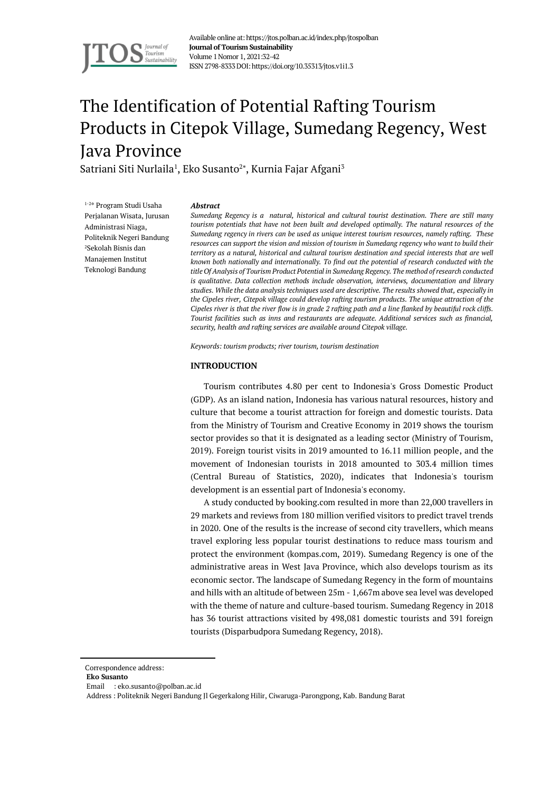

Available online at: https://jtos.polban.ac.id/index.php/jtospolban **Journal of Tourism Sustainability** Volume 1Nomor 1, 2021:32-42 ISSN 2798-8333DOI: https://doi.org/10.35313/jtos.v1i1.3

# The Identification of Potential Rafting Tourism Products in Citepok Village, Sumedang Regency, West Java Province

Satriani Siti Nurlaila<sup>1</sup>, Eko Susanto<sup>2</sup>\*, Kurnia Fajar Afgani<sup>3</sup>

1-2\* Program Studi Usaha Perjalanan Wisata, Jurusan Administrasi Niaga, Politeknik Negeri Bandung <sup>2</sup>Sekolah Bisnis dan Manajemen Institut Teknologi Bandung

#### *Abstract*

*Sumedang Regency is a natural, historical and cultural tourist destination. There are still many tourism potentials that have not been built and developed optimally. The natural resources of the Sumedang regency in rivers can be used as unique interest tourism resources, namely rafting. These resources can support the vision and mission of tourism in Sumedang regency who want to build their territory as a natural, historical and cultural tourism destination and special interests that are well known both nationally and internationally. To find out the potential of research conducted with the title Of Analysis of Tourism Product Potential in Sumedang Regency. The method of research conducted is qualitative. Data collection methods include observation, interviews, documentation and library studies. While the data analysis techniques used are descriptive. The results showed that, especially in the Cipeles river, Citepok village could develop rafting tourism products. The unique attraction of the Cipeles river is that the river flow is in grade 2 rafting path and a line flanked by beautiful rock cliffs. Tourist facilities such as inns and restaurants are adequate. Additional services such as financial, security, health and rafting services are available around Citepok village.*

*Keywords: tourism products; river tourism, tourism destination*

## **INTRODUCTION**

Tourism contributes 4.80 per cent to Indonesia's Gross Domestic Product (GDP). As an island nation, Indonesia has various natural resources, history and culture that become a tourist attraction for foreign and domestic tourists. Data from the Ministry of Tourism and Creative Economy in 2019 shows the tourism sector provides so that it is designated as a leading sector (Ministry of Tourism, 2019). Foreign tourist visits in 2019 amounted to 16.11 million people, and the movement of Indonesian tourists in 2018 amounted to 303.4 million times (Central Bureau of Statistics, 2020), indicates that Indonesia's tourism development is an essential part of Indonesia's economy.

A study conducted by booking.com resulted in more than 22,000 travellers in 29 markets and reviews from 180 million verified visitors to predict travel trends in 2020. One of the results is the increase of second city travellers, which means travel exploring less popular tourist destinations to reduce mass tourism and protect the environment (kompas.com, 2019). Sumedang Regency is one of the administrative areas in West Java Province, which also develops tourism as its economic sector. The landscape of Sumedang Regency in the form of mountains and hills with an altitude of between 25m - 1,667m above sea level was developed with the theme of nature and culture-based tourism. Sumedang Regency in 2018 has 36 tourist attractions visited by 498,081 domestic tourists and 391 foreign tourists (Disparbudpora Sumedang Regency, 2018).

**Eko Susanto**

Correspondence address:

Email : eko.susanto@polban.ac.id

Address : Politeknik Negeri Bandung Jl Gegerkalong Hilir, Ciwaruga-Parongpong, Kab. Bandung Barat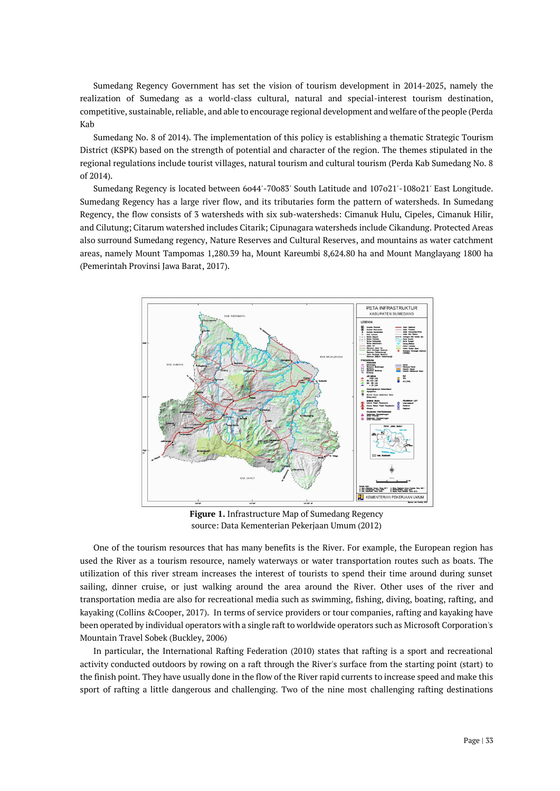Sumedang Regency Government has set the vision of tourism development in 2014-2025, namely the realization of Sumedang as a world-class cultural, natural and special-interest tourism destination, competitive, sustainable, reliable, and able to encourage regional development and welfare of the people (Perda Kab

Sumedang No. 8 of 2014). The implementation of this policy is establishing a thematic Strategic Tourism District (KSPK) based on the strength of potential and character of the region. The themes stipulated in the regional regulations include tourist villages, natural tourism and cultural tourism (Perda Kab Sumedang No. 8 of 2014).

Sumedang Regency is located between 6o44'-70o83' South Latitude and 107o21'-108o21' East Longitude. Sumedang Regency has a large river flow, and its tributaries form the pattern of watersheds. In Sumedang Regency, the flow consists of 3 watersheds with six sub-watersheds: Cimanuk Hulu, Cipeles, Cimanuk Hilir, and Cilutung; Citarum watershed includes Citarik; Cipunagara watersheds include Cikandung. Protected Areas also surround Sumedang regency, Nature Reserves and Cultural Reserves, and mountains as water catchment areas, namely Mount Tampomas 1,280.39 ha, Mount Kareumbi 8,624.80 ha and Mount Manglayang 1800 ha (Pemerintah Provinsi Jawa Barat, 2017).



**Figure 1.** Infrastructure Map of Sumedang Regency source: Data Kementerian Pekerjaan Umum (2012)

One of the tourism resources that has many benefits is the River. For example, the European region has used the River as a tourism resource, namely waterways or water transportation routes such as boats. The utilization of this river stream increases the interest of tourists to spend their time around during sunset sailing, dinner cruise, or just walking around the area around the River. Other uses of the river and transportation media are also for recreational media such as swimming, fishing, diving, boating, rafting, and kayaking (Collins &Cooper, 2017). In terms of service providers or tour companies, rafting and kayaking have been operated by individual operators with a single raft to worldwide operators such as Microsoft Corporation's Mountain Travel Sobek (Buckley, 2006)

In particular, the International Rafting Federation (2010) states that rafting is a sport and recreational activity conducted outdoors by rowing on a raft through the River's surface from the starting point (start) to the finish point. They have usually done in the flow of the River rapid currents to increase speed and make this sport of rafting a little dangerous and challenging. Two of the nine most challenging rafting destinations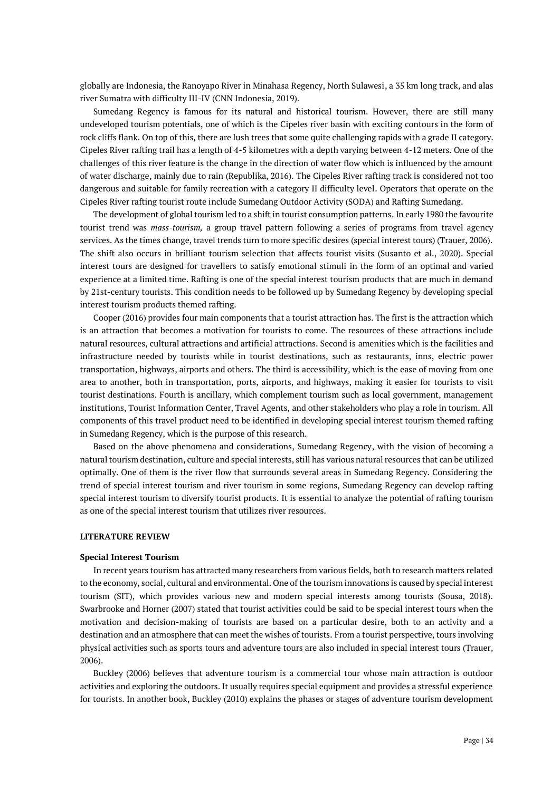globally are Indonesia, the Ranoyapo River in Minahasa Regency, North Sulawesi, a 35 km long track, and alas river Sumatra with difficulty III-IV (CNN Indonesia, 2019).

Sumedang Regency is famous for its natural and historical tourism. However, there are still many undeveloped tourism potentials, one of which is the Cipeles river basin with exciting contours in the form of rock cliffs flank. On top of this, there are lush trees that some quite challenging rapids with a grade II category. Cipeles River rafting trail has a length of 4-5 kilometres with a depth varying between 4-12 meters. One of the challenges of this river feature is the change in the direction of water flow which is influenced by the amount of water discharge, mainly due to rain (Republika, 2016). The Cipeles River rafting track is considered not too dangerous and suitable for family recreation with a category II difficulty level. Operators that operate on the Cipeles River rafting tourist route include Sumedang Outdoor Activity (SODA) and Rafting Sumedang.

The development of global tourism led to a shift in tourist consumption patterns. In early 1980 the favourite tourist trend was *mass-tourism,* a group travel pattern following a series of programs from travel agency services. As the times change, travel trends turn to more specific desires (special interest tours) (Trauer, 2006). The shift also occurs in brilliant tourism selection that affects tourist visits (Susanto et al., 2020). Special interest tours are designed for travellers to satisfy emotional stimuli in the form of an optimal and varied experience at a limited time. Rafting is one of the special interest tourism products that are much in demand by 21st-century tourists. This condition needs to be followed up by Sumedang Regency by developing special interest tourism products themed rafting.

Cooper (2016) provides four main components that a tourist attraction has. The first is the attraction which is an attraction that becomes a motivation for tourists to come. The resources of these attractions include natural resources, cultural attractions and artificial attractions. Second is amenities which is the facilities and infrastructure needed by tourists while in tourist destinations, such as restaurants, inns, electric power transportation, highways, airports and others. The third is accessibility, which is the ease of moving from one area to another, both in transportation, ports, airports, and highways, making it easier for tourists to visit tourist destinations. Fourth is ancillary, which complement tourism such as local government, management institutions, Tourist Information Center, Travel Agents, and other stakeholders who play a role in tourism. All components of this travel product need to be identified in developing special interest tourism themed rafting in Sumedang Regency, which is the purpose of this research.

Based on the above phenomena and considerations, Sumedang Regency, with the vision of becoming a natural tourism destination, culture and special interests, still has various natural resources that can be utilized optimally. One of them is the river flow that surrounds several areas in Sumedang Regency. Considering the trend of special interest tourism and river tourism in some regions, Sumedang Regency can develop rafting special interest tourism to diversify tourist products. It is essential to analyze the potential of rafting tourism as one of the special interest tourism that utilizes river resources.

## **LITERATURE REVIEW**

#### **Special Interest Tourism**

In recent years tourism has attracted many researchers from various fields, both to research matters related to the economy, social, cultural and environmental. One of the tourism innovations is caused by special interest tourism (SIT), which provides various new and modern special interests among tourists (Sousa, 2018). Swarbrooke and Horner (2007) stated that tourist activities could be said to be special interest tours when the motivation and decision-making of tourists are based on a particular desire, both to an activity and a destination and an atmosphere that can meet the wishes of tourists. From a tourist perspective, tours involving physical activities such as sports tours and adventure tours are also included in special interest tours (Trauer, 2006).

Buckley (2006) believes that adventure tourism is a commercial tour whose main attraction is outdoor activities and exploring the outdoors. It usually requires special equipment and provides a stressful experience for tourists. In another book, Buckley (2010) explains the phases or stages of adventure tourism development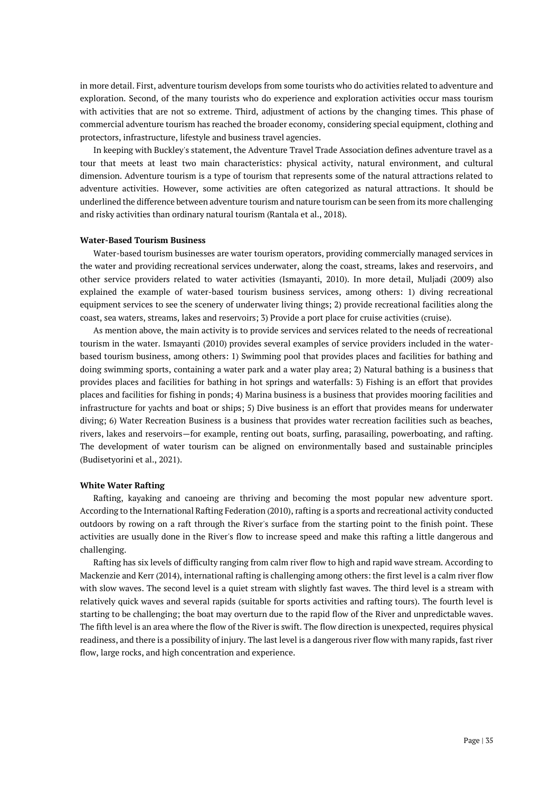in more detail. First, adventure tourism develops from some tourists who do activities related to adventure and exploration. Second, of the many tourists who do experience and exploration activities occur mass tourism with activities that are not so extreme. Third, adjustment of actions by the changing times. This phase of commercial adventure tourism has reached the broader economy, considering special equipment, clothing and protectors, infrastructure, lifestyle and business travel agencies.

In keeping with Buckley's statement, the Adventure Travel Trade Association defines adventure travel as a tour that meets at least two main characteristics: physical activity, natural environment, and cultural dimension. Adventure tourism is a type of tourism that represents some of the natural attractions related to adventure activities. However, some activities are often categorized as natural attractions. It should be underlined the difference between adventure tourism and nature tourism can be seen from its more challenging and risky activities than ordinary natural tourism (Rantala et al., 2018).

# **Water-Based Tourism Business**

Water-based tourism businesses are water tourism operators, providing commercially managed services in the water and providing recreational services underwater, along the coast, streams, lakes and reservoirs, and other service providers related to water activities (Ismayanti, 2010). In more detail, Muljadi (2009) also explained the example of water-based tourism business services, among others: 1) diving recreational equipment services to see the scenery of underwater living things; 2) provide recreational facilities along the coast, sea waters, streams, lakes and reservoirs; 3) Provide a port place for cruise activities (cruise).

As mention above, the main activity is to provide services and services related to the needs of recreational tourism in the water. Ismayanti (2010) provides several examples of service providers included in the waterbased tourism business, among others: 1) Swimming pool that provides places and facilities for bathing and doing swimming sports, containing a water park and a water play area; 2) Natural bathing is a business that provides places and facilities for bathing in hot springs and waterfalls: 3) Fishing is an effort that provides places and facilities for fishing in ponds; 4) Marina business is a business that provides mooring facilities and infrastructure for yachts and boat or ships; 5) Dive business is an effort that provides means for underwater diving; 6) Water Recreation Business is a business that provides water recreation facilities such as beaches, rivers, lakes and reservoirs—for example, renting out boats, surfing, parasailing, powerboating, and rafting. The development of water tourism can be aligned on environmentally based and sustainable principles (Budisetyorini et al., 2021).

#### **White Water Rafting**

Rafting, kayaking and canoeing are thriving and becoming the most popular new adventure sport. According to the International Rafting Federation (2010), rafting is a sports and recreational activity conducted outdoors by rowing on a raft through the River's surface from the starting point to the finish point. These activities are usually done in the River's flow to increase speed and make this rafting a little dangerous and challenging.

Rafting has six levels of difficulty ranging from calm river flow to high and rapid wave stream. According to Mackenzie and Kerr (2014), international rafting is challenging among others: the first level is a calm river flow with slow waves. The second level is a quiet stream with slightly fast waves. The third level is a stream with relatively quick waves and several rapids (suitable for sports activities and rafting tours). The fourth level is starting to be challenging; the boat may overturn due to the rapid flow of the River and unpredictable waves. The fifth level is an area where the flow of the River is swift. The flow direction is unexpected, requires physical readiness, and there is a possibility of injury. The last level is a dangerous river flow with many rapids, fast river flow, large rocks, and high concentration and experience.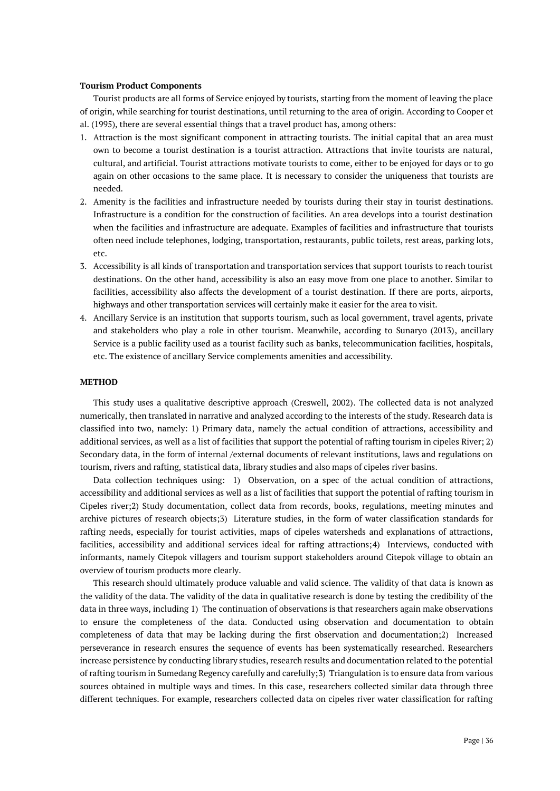## **Tourism Product Components**

Tourist products are all forms of Service enjoyed by tourists, starting from the moment of leaving the place of origin, while searching for tourist destinations, until returning to the area of origin. According to Cooper et al. (1995), there are several essential things that a travel product has, among others:

- 1. Attraction is the most significant component in attracting tourists. The initial capital that an area must own to become a tourist destination is a tourist attraction. Attractions that invite tourists are natural, cultural, and artificial. Tourist attractions motivate tourists to come, either to be enjoyed for days or to go again on other occasions to the same place. It is necessary to consider the uniqueness that tourists are needed.
- 2. Amenity is the facilities and infrastructure needed by tourists during their stay in tourist destinations. Infrastructure is a condition for the construction of facilities. An area develops into a tourist destination when the facilities and infrastructure are adequate. Examples of facilities and infrastructure that tourists often need include telephones, lodging, transportation, restaurants, public toilets, rest areas, parking lots, etc.
- 3. Accessibility is all kinds of transportation and transportation services that support tourists to reach tourist destinations. On the other hand, accessibility is also an easy move from one place to another. Similar to facilities, accessibility also affects the development of a tourist destination. If there are ports, airports, highways and other transportation services will certainly make it easier for the area to visit.
- 4. Ancillary Service is an institution that supports tourism, such as local government, travel agents, private and stakeholders who play a role in other tourism. Meanwhile, according to Sunaryo (2013), ancillary Service is a public facility used as a tourist facility such as banks, telecommunication facilities, hospitals, etc. The existence of ancillary Service complements amenities and accessibility.

## **METHOD**

This study uses a qualitative descriptive approach (Creswell, 2002). The collected data is not analyzed numerically, then translated in narrative and analyzed according to the interests of the study. Research data is classified into two, namely: 1) Primary data, namely the actual condition of attractions, accessibility and additional services, as well as a list of facilities that support the potential of rafting tourism in cipeles River; 2) Secondary data, in the form of internal /external documents of relevant institutions, laws and regulations on tourism, rivers and rafting, statistical data, library studies and also maps of cipeles river basins.

Data collection techniques using: 1) Observation, on a spec of the actual condition of attractions, accessibility and additional services as well as a list of facilities that support the potential of rafting tourism in Cipeles river;2) Study documentation, collect data from records, books, regulations, meeting minutes and archive pictures of research objects;3) Literature studies, in the form of water classification standards for rafting needs, especially for tourist activities, maps of cipeles watersheds and explanations of attractions, facilities, accessibility and additional services ideal for rafting attractions;4) Interviews, conducted with informants, namely Citepok villagers and tourism support stakeholders around Citepok village to obtain an overview of tourism products more clearly.

This research should ultimately produce valuable and valid science. The validity of that data is known as the validity of the data. The validity of the data in qualitative research is done by testing the credibility of the data in three ways, including 1) The continuation of observations is that researchers again make observations to ensure the completeness of the data. Conducted using observation and documentation to obtain completeness of data that may be lacking during the first observation and documentation;2) Increased perseverance in research ensures the sequence of events has been systematically researched. Researchers increase persistence by conducting library studies, research results and documentation related to the potential of rafting tourism in Sumedang Regency carefully and carefully;3) Triangulation is to ensure data from various sources obtained in multiple ways and times. In this case, researchers collected similar data through three different techniques. For example, researchers collected data on cipeles river water classification for rafting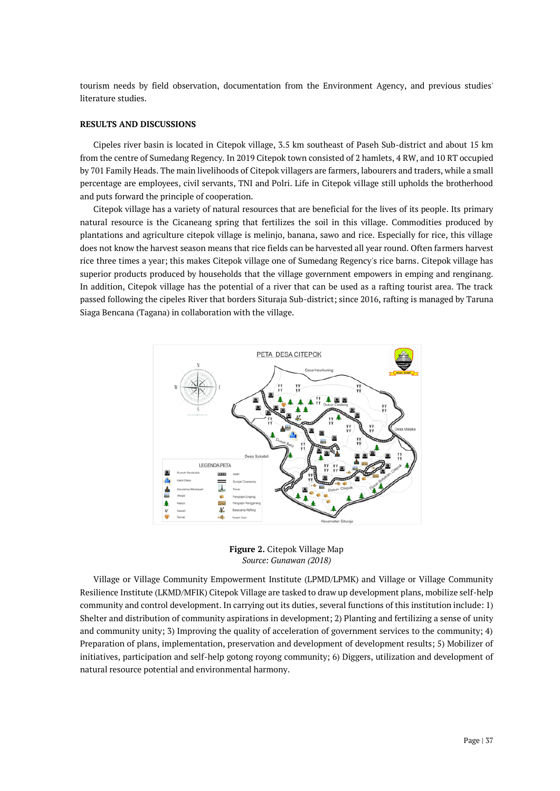tourism needs by field observation, documentation from the Environment Agency, and previous studies' literature studies.

## **RESULTS AND DISCUSSIONS**

Cipeles river basin is located in Citepok village, 3.5 km southeast of Paseh Sub-district and about 15 km from the centre of Sumedang Regency. In 2019 Citepok town consisted of 2 hamlets, 4 RW, and 10 RT occupied by 701 Family Heads. The main livelihoods of Citepok villagers are farmers, labourers and traders, while a small percentage are employees, civil servants, TNI and Polri. Life in Citepok village still upholds the brotherhood and puts forward the principle of cooperation.

Citepok village has a variety of natural resources that are beneficial for the lives of its people. Its primary natural resource is the Cicaneang spring that fertilizes the soil in this village. Commodities produced by plantations and agriculture citepok village is melinjo, banana, sawo and rice. Especially for rice, this village does not know the harvest season means that rice fields can be harvested all year round. Often farmers harvest rice three times a year; this makes Citepok village one of Sumedang Regency's rice barns. Citepok village has superior products produced by households that the village government empowers in emping and renginang. In addition, Citepok village has the potential of a river that can be used as a rafting tourist area. The track passed following the cipeles River that borders Situraja Sub-district; since 2016, rafting is managed by Taruna Siaga Bencana (Tagana) in collaboration with the village.



**Figure 2.** Citepok Village Map *Source: Gunawan (2018)*

Village or Village Community Empowerment Institute (LPMD/LPMK) and Village or Village Community Resilience Institute (LKMD/MFIK) Citepok Village are tasked to draw up development plans, mobilize self-help community and control development. In carrying out its duties, several functions of this institution include: 1) Shelter and distribution of community aspirations in development; 2) Planting and fertilizing a sense of unity and community unity; 3) Improving the quality of acceleration of government services to the community; 4) Preparation of plans, implementation, preservation and development of development results; 5) Mobilizer of initiatives, participation and self-help gotong royong community; 6) Diggers, utilization and development of natural resource potential and environmental harmony.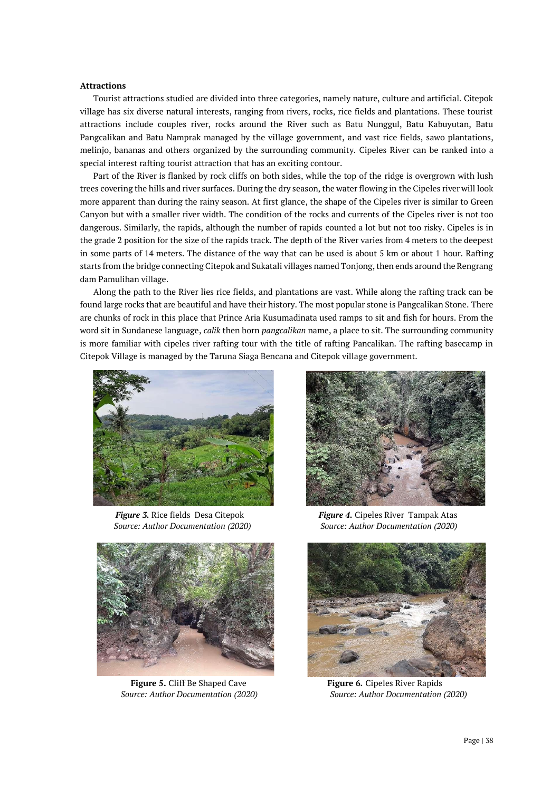## **Attractions**

Tourist attractions studied are divided into three categories, namely nature, culture and artificial. Citepok village has six diverse natural interests, ranging from rivers, rocks, rice fields and plantations. These tourist attractions include couples river, rocks around the River such as Batu Nunggul, Batu Kabuyutan, Batu Pangcalikan and Batu Namprak managed by the village government, and vast rice fields, sawo plantations, melinjo, bananas and others organized by the surrounding community. Cipeles River can be ranked into a special interest rafting tourist attraction that has an exciting contour.

Part of the River is flanked by rock cliffs on both sides, while the top of the ridge is overgrown with lush trees covering the hills and river surfaces. During the dry season, the water flowing in the Cipeles river will look more apparent than during the rainy season. At first glance, the shape of the Cipeles river is similar to Green Canyon but with a smaller river width. The condition of the rocks and currents of the Cipeles river is not too dangerous. Similarly, the rapids, although the number of rapids counted a lot but not too risky. Cipeles is in the grade 2 position for the size of the rapids track. The depth of the River varies from 4 meters to the deepest in some parts of 14 meters. The distance of the way that can be used is about 5 km or about 1 hour. Rafting starts from the bridge connecting Citepok and Sukatali villages named Tonjong, then ends around the Rengrang dam Pamulihan village.

Along the path to the River lies rice fields, and plantations are vast. While along the rafting track can be found large rocks that are beautiful and have their history. The most popular stone is Pangcalikan Stone. There are chunks of rock in this place that Prince Aria Kusumadinata used ramps to sit and fish for hours. From the word sit in Sundanese language, *calik* then born *pangcalikan* name, a place to sit. The surrounding community is more familiar with cipeles river rafting tour with the title of rafting Pancalikan. The rafting basecamp in Citepok Village is managed by the Taruna Siaga Bencana and Citepok village government.



*Figure 3.* Rice fields Desa Citepok *Figure 4.* Cipeles River Tampak Atas



**Figure 5.** Cliff Be Shaped Cave Figure 6. Cipeles River Rapids



*Source: Author Documentation (2020) Source: Author Documentation (2020)*



 *Source: Author Documentation (2020) Source: Author Documentation (2020)*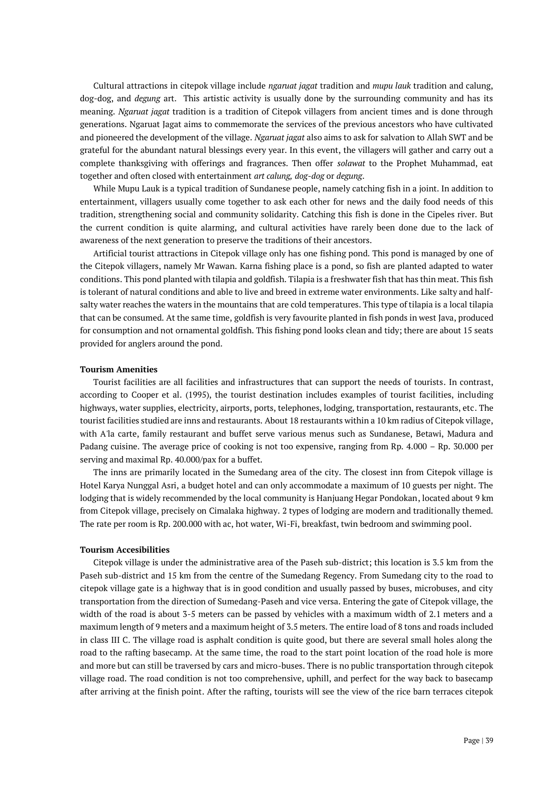Cultural attractions in citepok village include *ngaruat jagat* tradition and *mupu lauk* tradition and calung, dog-dog, and *degung* art. This artistic activity is usually done by the surrounding community and has its meaning. *Ngaruat jagat* tradition is a tradition of Citepok villagers from ancient times and is done through generations. Ngaruat Jagat aims to commemorate the services of the previous ancestors who have cultivated and pioneered the development of the village. *Ngaruat jagat* also aims to ask for salvation to Allah SWT and be grateful for the abundant natural blessings every year. In this event, the villagers will gather and carry out a complete thanksgiving with offerings and fragrances. Then offer *solawat* to the Prophet Muhammad, eat together and often closed with entertainment *art calung, dog-dog* or *degung*.

While Mupu Lauk is a typical tradition of Sundanese people, namely catching fish in a joint. In addition to entertainment, villagers usually come together to ask each other for news and the daily food needs of this tradition, strengthening social and community solidarity. Catching this fish is done in the Cipeles river. But the current condition is quite alarming, and cultural activities have rarely been done due to the lack of awareness of the next generation to preserve the traditions of their ancestors.

Artificial tourist attractions in Citepok village only has one fishing pond. This pond is managed by one of the Citepok villagers, namely Mr Wawan. Karna fishing place is a pond, so fish are planted adapted to water conditions. This pond planted with tilapia and goldfish. Tilapia is a freshwater fish that has thin meat. This fish is tolerant of natural conditions and able to live and breed in extreme water environments. Like salty and halfsalty water reaches the waters in the mountains that are cold temperatures. This type of tilapia is a local tilapia that can be consumed. At the same time, goldfish is very favourite planted in fish ponds in west Java, produced for consumption and not ornamental goldfish. This fishing pond looks clean and tidy; there are about 15 seats provided for anglers around the pond.

# **Tourism Amenities**

Tourist facilities are all facilities and infrastructures that can support the needs of tourists. In contrast, according to Cooper et al. (1995), the tourist destination includes examples of tourist facilities, including highways, water supplies, electricity, airports, ports, telephones, lodging, transportation, restaurants, etc. The tourist facilities studied are inns and restaurants. About 18 restaurants within a 10 km radius of Citepok village, with A'la carte, family restaurant and buffet serve various menus such as Sundanese, Betawi, Madura and Padang cuisine. The average price of cooking is not too expensive, ranging from Rp. 4.000 – Rp. 30.000 per serving and maximal Rp. 40.000/pax for a buffet.

The inns are primarily located in the Sumedang area of the city. The closest inn from Citepok village is Hotel Karya Nunggal Asri, a budget hotel and can only accommodate a maximum of 10 guests per night. The lodging that is widely recommended by the local community is Hanjuang Hegar Pondokan, located about 9 km from Citepok village, precisely on Cimalaka highway. 2 types of lodging are modern and traditionally themed. The rate per room is Rp. 200.000 with ac, hot water, Wi-Fi, breakfast, twin bedroom and swimming pool.

## **Tourism Accesibilities**

Citepok village is under the administrative area of the Paseh sub-district; this location is 3.5 km from the Paseh sub-district and 15 km from the centre of the Sumedang Regency. From Sumedang city to the road to citepok village gate is a highway that is in good condition and usually passed by buses, microbuses, and city transportation from the direction of Sumedang-Paseh and vice versa. Entering the gate of Citepok village, the width of the road is about 3-5 meters can be passed by vehicles with a maximum width of 2.1 meters and a maximum length of 9 meters and a maximum height of 3.5 meters. The entire load of 8 tons and roads included in class III C. The village road is asphalt condition is quite good, but there are several small holes along the road to the rafting basecamp. At the same time, the road to the start point location of the road hole is more and more but can still be traversed by cars and micro-buses. There is no public transportation through citepok village road. The road condition is not too comprehensive, uphill, and perfect for the way back to basecamp after arriving at the finish point. After the rafting, tourists will see the view of the rice barn terraces citepok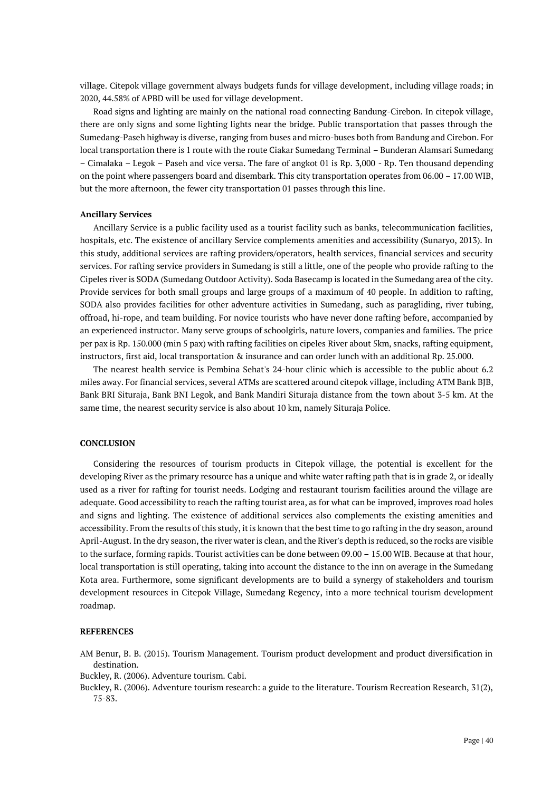village. Citepok village government always budgets funds for village development, including village roads; in 2020, 44.58% of APBD will be used for village development.

Road signs and lighting are mainly on the national road connecting Bandung-Cirebon. In citepok village, there are only signs and some lighting lights near the bridge. Public transportation that passes through the Sumedang-Paseh highway is diverse, ranging from buses and micro-buses both from Bandung and Cirebon. For local transportation there is 1 route with the route Ciakar Sumedang Terminal – Bunderan Alamsari Sumedang – Cimalaka – Legok – Paseh and vice versa. The fare of angkot 01 is Rp. 3,000 - Rp. Ten thousand depending on the point where passengers board and disembark. This city transportation operates from 06.00 – 17.00 WIB, but the more afternoon, the fewer city transportation 01 passes through this line.

#### **Ancillary Services**

Ancillary Service is a public facility used as a tourist facility such as banks, telecommunication facilities, hospitals, etc. The existence of ancillary Service complements amenities and accessibility (Sunaryo, 2013). In this study, additional services are rafting providers/operators, health services, financial services and security services. For rafting service providers in Sumedang is still a little, one of the people who provide rafting to the Cipeles river is SODA (Sumedang Outdoor Activity). Soda Basecamp is located in the Sumedang area of the city. Provide services for both small groups and large groups of a maximum of 40 people. In addition to rafting, SODA also provides facilities for other adventure activities in Sumedang, such as paragliding, river tubing, offroad, hi-rope, and team building. For novice tourists who have never done rafting before, accompanied by an experienced instructor. Many serve groups of schoolgirls, nature lovers, companies and families. The price per pax is Rp. 150.000 (min 5 pax) with rafting facilities on cipeles River about 5km, snacks, rafting equipment, instructors, first aid, local transportation & insurance and can order lunch with an additional Rp. 25.000.

The nearest health service is Pembina Sehat's 24-hour clinic which is accessible to the public about 6.2 miles away. For financial services, several ATMs are scattered around citepok village, including ATM Bank BJB, Bank BRI Situraja, Bank BNI Legok, and Bank Mandiri Situraja distance from the town about 3-5 km. At the same time, the nearest security service is also about 10 km, namely Situraja Police.

## **CONCLUSION**

Considering the resources of tourism products in Citepok village, the potential is excellent for the developing River as the primary resource has a unique and white water rafting path that is in grade 2, or ideally used as a river for rafting for tourist needs. Lodging and restaurant tourism facilities around the village are adequate. Good accessibility to reach the rafting tourist area, as for what can be improved, improves road holes and signs and lighting. The existence of additional services also complements the existing amenities and accessibility. From the results of this study, it is known that the best time to go rafting in the dry season, around April-August. In the dry season, the river water is clean, and the River's depth is reduced, so the rocks are visible to the surface, forming rapids. Tourist activities can be done between 09.00 – 15.00 WIB. Because at that hour, local transportation is still operating, taking into account the distance to the inn on average in the Sumedang Kota area. Furthermore, some significant developments are to build a synergy of stakeholders and tourism development resources in Citepok Village, Sumedang Regency, into a more technical tourism development roadmap.

### **REFERENCES**

AM Benur, B. B. (2015). Tourism Management. Tourism product development and product diversification in destination.

Buckley, R. (2006). Adventure tourism. Cabi.

Buckley, R. (2006). Adventure tourism research: a guide to the literature. Tourism Recreation Research, 31(2), 75-83.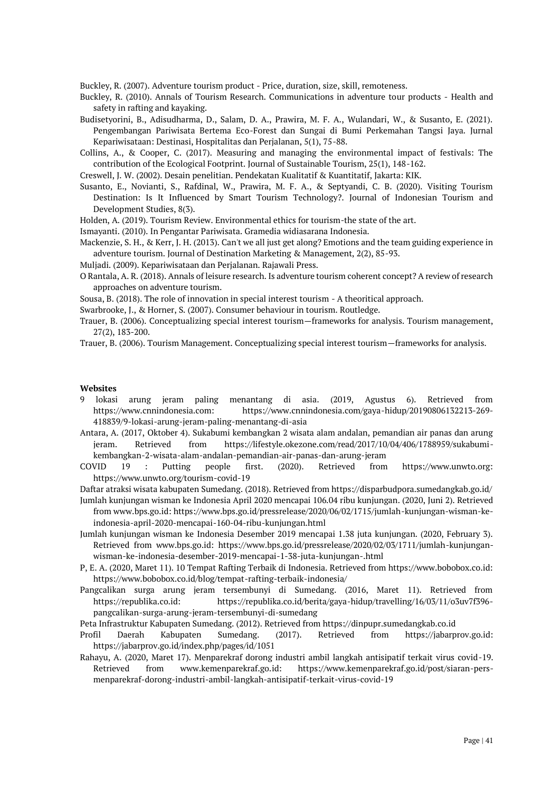Buckley, R. (2007). Adventure tourism product - Price, duration, size, skill, remoteness.

- Buckley, R. (2010). Annals of Tourism Research. Communications in adventure tour products Health and safety in rafting and kayaking.
- Budisetyorini, B., Adisudharma, D., Salam, D. A., Prawira, M. F. A., Wulandari, W., & Susanto, E. (2021). Pengembangan Pariwisata Bertema Eco-Forest dan Sungai di Bumi Perkemahan Tangsi Jaya. Jurnal Kepariwisataan: Destinasi, Hospitalitas dan Perjalanan, 5(1), 75-88.

Collins, A., & Cooper, C. (2017). Measuring and managing the environmental impact of festivals: The contribution of the Ecological Footprint. Journal of Sustainable Tourism, 25(1), 148-162.

Creswell, J. W. (2002). Desain penelitian. Pendekatan Kualitatif & Kuantitatif, Jakarta: KIK.

Susanto, E., Novianti, S., Rafdinal, W., Prawira, M. F. A., & Septyandi, C. B. (2020). Visiting Tourism Destination: Is It Influenced by Smart Tourism Technology?. Journal of Indonesian Tourism and Development Studies, 8(3).

Holden, A. (2019). Tourism Review. Environmental ethics for tourism-the state of the art.

- Ismayanti. (2010). In Pengantar Pariwisata. Gramedia widiasarana Indonesia.
- Mackenzie, S. H., & Kerr, J. H. (2013). Can't we all just get along? Emotions and the team guiding experience in adventure tourism. Journal of Destination Marketing & Management, 2(2), 85-93.

Muljadi. (2009). Kepariwisataan dan Perjalanan. Rajawali Press.

O Rantala, A. R. (2018). Annals of leisure research. Is adventure tourism coherent concept? A review of research approaches on adventure tourism.

Sousa, B. (2018). The role of innovation in special interest tourism - A theoritical approach.

Swarbrooke, J., & Horner, S. (2007). Consumer behaviour in tourism. Routledge.

Trauer, B. (2006). Conceptualizing special interest tourism—frameworks for analysis. Tourism management, 27(2), 183-200.

# **Websites**

- 9 lokasi arung jeram paling menantang di asia. (2019, Agustus 6). Retrieved from https://www.cnnindonesia.com: https://www.cnnindonesia.com/gaya-hidup/20190806132213-269- 418839/9-lokasi-arung-jeram-paling-menantang-di-asia
- Antara, A. (2017, Oktober 4). Sukabumi kembangkan 2 wisata alam andalan, pemandian air panas dan arung jeram. Retrieved from https://lifestyle.okezone.com/read/2017/10/04/406/1788959/sukabumikembangkan-2-wisata-alam-andalan-pemandian-air-panas-dan-arung-jeram
- COVID 19 : Putting people first. (2020). Retrieved from https://www.unwto.org: https://www.unwto.org/tourism-covid-19

Daftar atraksi wisata kabupaten Sumedang. (2018). Retrieved from https://disparbudpora.sumedangkab.go.id/ Jumlah kunjungan wisman ke Indonesia April 2020 mencapai 106.04 ribu kunjungan. (2020, Juni 2). Retrieved from www.bps.go.id: https://www.bps.go.id/pressrelease/2020/06/02/1715/jumlah-kunjungan-wisman-keindonesia-april-2020-mencapai-160-04-ribu-kunjungan.html

Jumlah kunjungan wisman ke Indonesia Desember 2019 mencapai 1.38 juta kunjungan. (2020, February 3). Retrieved from www.bps.go.id: https://www.bps.go.id/pressrelease/2020/02/03/1711/jumlah-kunjunganwisman-ke-indonesia-desember-2019-mencapai-1-38-juta-kunjungan-.html

P, E. A. (2020, Maret 11). 10 Tempat Rafting Terbaik di Indonesia. Retrieved from https://www.bobobox.co.id: https://www.bobobox.co.id/blog/tempat-rafting-terbaik-indonesia/

Pangcalikan surga arung jeram tersembunyi di Sumedang. (2016, Maret 11). Retrieved from https://republika.co.id: https://republika.co.id/berita/gaya-hidup/travelling/16/03/11/o3uv7f396 pangcalikan-surga-arung-jeram-tersembunyi-di-sumedang

Peta Infrastruktur Kabupaten Sumedang. (2012). Retrieved from https://dinpupr.sumedangkab.co.id

- Profil Daerah Kabupaten Sumedang. (2017). Retrieved from https://jabarprov.go.id: https://jabarprov.go.id/index.php/pages/id/1051
- Rahayu, A. (2020, Maret 17). Menparekraf dorong industri ambil langkah antisipatif terkait virus covid-19. Retrieved from www.kemenparekraf.go.id: https://www.kemenparekraf.go.id/post/siaran-persmenparekraf-dorong-industri-ambil-langkah-antisipatif-terkait-virus-covid-19

Trauer, B. (2006). Tourism Management. Conceptualizing special interest tourism—frameworks for analysis.